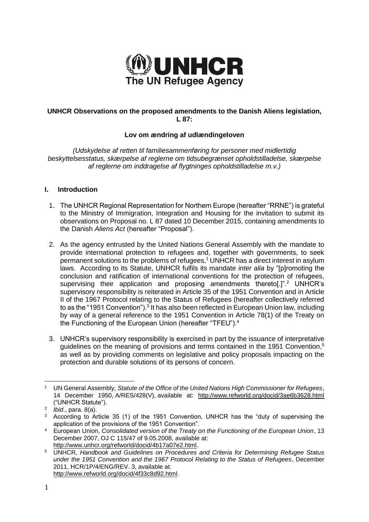

# **UNHCR Observations on the proposed amendments to the Danish Aliens legislation, L 87:**

# **Lov om ændring af udlændingeloven**

*(Udskydelse af retten til familiesammenføring for personer med midlertidig beskyttelsesstatus, skærpelse af reglerne om tidsubegrænset opholdstilladelse, skærpelse af reglerne om inddragelse af flygtninges opholdstilladelse m.v.)*

## **I. Introduction**

- 1. The UNHCR Regional Representation for Northern Europe (hereafter "RRNE") is grateful to the Ministry of Immigration, Integration and Housing for the invitation to submit its observations on Proposal no. L 87 dated 10 December 2015, containing amendments to the Danish *Aliens Act* (hereafter "Proposal").
- 2. As the agency entrusted by the United Nations General Assembly with the mandate to provide international protection to refugees and, together with governments, to seek permanent solutions to the problems of refugees, <sup>1</sup> UNHCR has a direct interest in asylum laws. According to its Statute, UNHCR fulfils its mandate *inter alia* by "[p]romoting the conclusion and ratification of international conventions for the protection of refugees, supervising their application and proposing amendments thereto[.]".<sup>2</sup> UNHCR's supervisory responsibility is reiterated in Article 35 of the 1951 Convention and in Article II of the 1967 Protocol relating to the Status of Refugees (hereafter collectively referred to as the "1951 Convention").<sup>3</sup> It has also been reflected in European Union law, including by way of a general reference to the 1951 Convention in Article 78(1) of the Treaty on the Functioning of the European Union (hereafter "TFEU").<sup>4</sup>
- 3. UNHCR's supervisory responsibility is exercised in part by the issuance of interpretative guidelines on the meaning of provisions and terms contained in the 1951 Convention, 5 as well as by providing comments on legislative and policy proposals impacting on the protection and durable solutions of its persons of concern.

[http://www.unhcr.org/refworld/docid/4b17a07e2.html.](http://www.unhcr.org/refworld/docid/4b17a07e2.html)

<sup>1</sup> <sup>1</sup> UN General Assembly, *Statute of the Office of the United Nations High Commissioner for Refugees*, 14 December 1950, A/RES/428(V), available at: <http://www.refworld.org/docid/3ae6b3628.html> ("UNHCR Statute").

<sup>2</sup> *Ibid*., para. 8(a).

<sup>&</sup>lt;sup>3</sup> According to Article 35 (1) of the 1951 Convention, UNHCR has the "duty of supervising the application of the provisions of the 1951 Convention".

<sup>4</sup> European Union, *Consolidated version of the Treaty on the Functioning of the European Union*, 13 December 2007, OJ C 115/47 of 9.05.2008, available at:

<sup>5</sup> UNHCR, *Handbook and Guidelines on Procedures and Criteria for Determining Refugee Status under the 1951 Convention and the 1967 Protocol Relating to the Status of Refugees*, December 2011, HCR/1P/4/ENG/REV. 3, available at: [http://www.refworld.org/docid/4f33c8d92.html.](http://www.refworld.org/docid/4f33c8d92.html)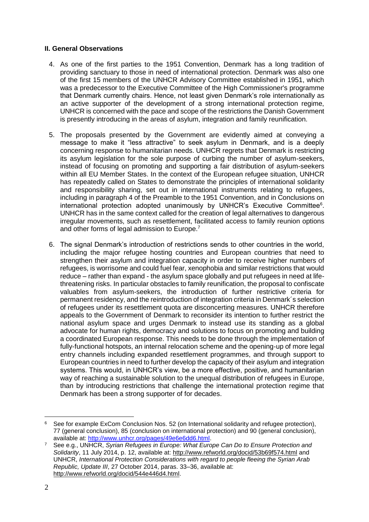# **II. General Observations**

- 4. As one of the first parties to the 1951 Convention, Denmark has a long tradition of providing sanctuary to those in need of international protection. Denmark was also one of the first 15 members of the UNHCR Advisory Committee established in 1951, which was a predecessor to the Executive Committee of the High Commissioner's programme that Denmark currently chairs. Hence, not least given Denmark's role internationally as an active supporter of the development of a strong international protection regime, UNHCR is concerned with the pace and scope of the restrictions the Danish Government is presently introducing in the areas of asylum, integration and family reunification.
- 5. The proposals presented by the Government are evidently aimed at conveying a message to make it "less attractive" to seek asylum in Denmark, and is a deeply concerning response to humanitarian needs. UNHCR regrets that Denmark is restricting its asylum legislation for the sole purpose of curbing the number of asylum-seekers, instead of focusing on promoting and supporting a fair distribution of asylum-seekers within all EU Member States. In the context of the European refugee situation, UNHCR has repeatedly called on States to demonstrate the principles of international solidarity and responsibility sharing, set out in international instruments relating to refugees, including in paragraph 4 of the Preamble to the 1951 Convention, and in Conclusions on international protection adopted unanimously by UNHCR's Executive Committee<sup>6</sup>. UNHCR has in the same context called for the creation of legal alternatives to dangerous irregular movements, such as resettlement, facilitated access to family reunion options and other forms of legal admission to Europe.<sup>7</sup>
- 6. The signal Denmark's introduction of restrictions sends to other countries in the world, including the major refugee hosting countries and European countries that need to strengthen their asylum and integration capacity in order to receive higher numbers of refugees, is worrisome and could fuel fear, xenophobia and similar restrictions that would reduce – rather than expand - the asylum space globally and put refugees in need at lifethreatening risks. In particular obstacles to family reunification, the proposal to confiscate valuables from asylum-seekers, the introduction of further restrictive criteria for permanent residency, and the reintroduction of integration criteria in Denmark´s selection of refugees under its resettlement quota are disconcerting measures. UNHCR therefore appeals to the Government of Denmark to reconsider its intention to further restrict the national asylum space and urges Denmark to instead use its standing as a global advocate for human rights, democracy and solutions to focus on promoting and building a coordinated European response. This needs to be done through the implementation of fully-functional hotspots, an internal relocation scheme and the opening-up of more legal entry channels including expanded resettlement programmes, and through support to European countries in need to further develop the capacity of their asylum and integration systems. This would, in UNHCR's view, be a more effective, positive, and humanitarian way of reaching a sustainable solution to the unequal distribution of refugees in Europe, than by introducing restrictions that challenge the international protection regime that Denmark has been a strong supporter of for decades.

<sup>6</sup> See for example ExCom Conclusion Nos. 52 (on International solidarity and refugee protection), 77 (general conclusion), 85 (conclusion on international protection) and 90 (general conclusion), available at: [http://www.unhcr.org/pages/49e6e6dd6.html.](http://www.unhcr.org/pages/49e6e6dd6.html)

<sup>7</sup> See e.g., UNHCR, *Syrian Refugees in Europe: What Europe Can Do to Ensure Protection and Solidarity*, 11 July 2014, p. 12, available at:<http://www.refworld.org/docid/53b69f574.html> and UNHCR, *International Protection Considerations with regard to people fleeing the Syrian Arab Republic, Update III*, 27 October 2014, paras. 33–36, available at: [http://www.refworld.org/docid/544e446d4.html.](http://www.refworld.org/docid/544e446d4.html)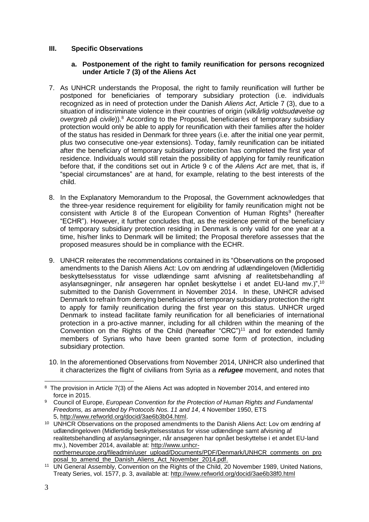# **III. Specific Observations**

## **a. Postponement of the right to family reunification for persons recognized under Article 7 (3) of the Aliens Act**

- 7. As UNHCR understands the Proposal, the right to family reunification will further be postponed for beneficiaries of temporary subsidiary protection (i.e. individuals recognized as in need of protection under the Danish *Aliens Act*, Article 7 (3), due to a situation of indiscriminate violence in their countries of origin (*vilkårlig voldsudøvelse og overgreb på civile*)). <sup>8</sup> According to the Proposal, beneficiaries of temporary subsidiary protection would only be able to apply for reunification with their families after the holder of the status has resided in Denmark for three years (i.e. after the initial one year permit, plus two consecutive one-year extensions). Today, family reunification can be initiated after the beneficiary of temporary subsidiary protection has completed the first year of residence. Individuals would still retain the possibility of applying for family reunification before that, if the conditions set out in Article 9 c of the *Aliens Act* are met, that is, if "special circumstances" are at hand, for example, relating to the best interests of the child.
- 8. In the Explanatory Memorandum to the Proposal, the Government acknowledges that the three-year residence requirement for eligibility for family reunification might not be consistent with Article 8 of the European Convention of Human Rights<sup>9</sup> (hereafter "ECHR"). However, it further concludes that, as the residence permit of the beneficiary of temporary subsidiary protection residing in Denmark is only valid for one year at a time, his/her links to Denmark will be limited; the Proposal therefore assesses that the proposed measures should be in compliance with the ECHR.
- 9. UNHCR reiterates the recommendations contained in its "Observations on the proposed amendments to the Danish Aliens Act: Lov om ændring af udlændingeloven (Midlertidig beskyttelsesstatus for visse udlændinge samt afvisning af realitetsbehandling af asylansøgninger, når ansøgeren har opnået beskyttelse i et andet EU-land mv.)",<sup>10</sup> submitted to the Danish Government in November 2014. In these, UNHCR advised Denmark to refrain from denying beneficiaries of temporary subsidiary protection the right to apply for family reunification during the first year on this status. UNHCR urged Denmark to instead facilitate family reunification for all beneficiaries of international protection in a pro-active manner, including for all children within the meaning of the Convention on the Rights of the Child (hereafter "CRC") <sup>11</sup> and for extended family members of Syrians who have been granted some form of protection, including subsidiary protection.
- 10. In the aforementioned Observations from November 2014, UNHCR also underlined that it characterizes the flight of civilians from Syria as a *refugee* movement, and notes that

<sup>8</sup> The provision in Article 7(3) of the Aliens Act was adopted in November 2014, and entered into force in 2015.

<sup>9</sup> Council of Europe, *European Convention for the Protection of Human Rights and Fundamental Freedoms, as amended by Protocols Nos. 11 and 14*, 4 November 1950, ETS 5, [http://www.refworld.org/docid/3ae6b3b04.html.](http://www.refworld.org/docid/3ae6b3b04.html)

<sup>10</sup> UNHCR Observations on the proposed amendments to the Danish Aliens Act: Lov om ændring af udlændingeloven (Midlertidig beskyttelsesstatus for visse udlændinge samt afvisning af realitetsbehandling af asylansøgninger, når ansøgeren har opnået beskyttelse i et andet EU-land mv.), November 2014, available at: [http://www.unhcr](http://www.unhcr-northerneurope.org/fileadmin/user_upload/Documents/PDF/Denmark/UNHCR_comments_on_proposal_to_amend_the_Danish_Aliens_Act_November_2014.pdf)[northerneurope.org/fileadmin/user\\_upload/Documents/PDF/Denmark/UNHCR\\_comments\\_on\\_pro](http://www.unhcr-northerneurope.org/fileadmin/user_upload/Documents/PDF/Denmark/UNHCR_comments_on_proposal_to_amend_the_Danish_Aliens_Act_November_2014.pdf) posal\_to\_amend\_the\_Danish\_Aliens\_Act\_November\_2014.pdf.

<sup>11</sup> UN General Assembly, Convention on the Rights of the Child, 20 November 1989, United Nations, Treaty Series, vol. 1577, p. 3, available at:<http://www.refworld.org/docid/3ae6b38f0.html>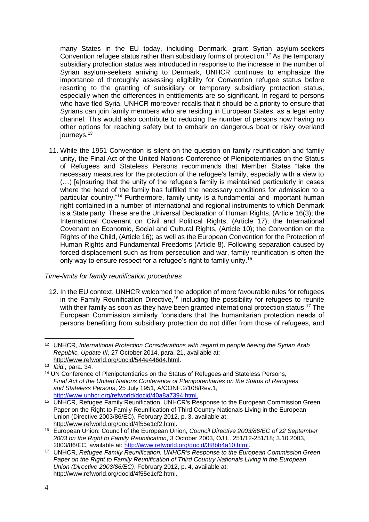many States in the EU today, including Denmark, grant Syrian asylum-seekers Convention refugee status rather than subsidiary forms of protection.<sup>12</sup> As the temporary subsidiary protection status was introduced in response to the increase in the number of Syrian asylum-seekers arriving to Denmark, UNHCR continues to emphasize the importance of thoroughly assessing eligibility for Convention refugee status before resorting to the granting of subsidiary or temporary subsidiary protection status, especially when the differences in entitlements are so significant. In regard to persons who have fled Syria, UNHCR moreover recalls that it should be a priority to ensure that Syrians can join family members who are residing in European States, as a legal entry channel. This would also contribute to reducing the number of persons now having no other options for reaching safety but to embark on dangerous boat or risky overland journeys.<sup>13</sup>

11. While the 1951 Convention is silent on the question on family reunification and family unity, the Final Act of the United Nations Conference of Plenipotentiaries on the Status of Refugees and Stateless Persons recommends that Member States "take the necessary measures for the protection of the refugee's family, especially with a view to (…) [e]nsuring that the unity of the refugee's family is maintained particularly in cases where the head of the family has fulfilled the necessary conditions for admission to a particular country."<sup>14</sup> Furthermore, family unity is a fundamental and important human right contained in a number of international and regional instruments to which Denmark is a State party. These are the Universal Declaration of Human Rights, (Article 16(3); the International Covenant on Civil and Political Rights, (Article 17); the International Covenant on Economic, Social and Cultural Rights, (Article 10); the Convention on the Rights of the Child, (Article 16); as well as the European Convention for the Protection of Human Rights and Fundamental Freedoms (Article 8). Following separation caused by forced displacement such as from persecution and war, family reunification is often the only way to ensure respect for a refugee's right to family unity.<sup>15</sup>

## *Time-limits for family reunification procedures*

12. In the EU context, UNHCR welcomed the adoption of more favourable rules for refugees in the Family Reunification Directive,<sup>16</sup> including the possibility for refugees to reunite with their family as soon as they have been granted international protection status.<sup>17</sup> The European Commission similarly "considers that the humanitarian protection needs of persons benefiting from subsidiary protection do not differ from those of refugees, and

<sup>12</sup> UNHCR, *International Protection Considerations with regard to people fleeing the Syrian Arab Republic, Update III*, 27 October 2014, para. 21, available at: [http://www.refworld.org/docid/544e446d4.html.](http://www.refworld.org/docid/544e446d4.html)

<sup>13</sup> *Ibid.,* para. 34.

<sup>&</sup>lt;sup>14</sup> UN Conference of Plenipotentiaries on the Status of Refugees and Stateless Persons, *Final Act of the United Nations Conference of Plenipotentiaries on the Status of Refugees and Stateless Persons*, 25 July 1951, A/CONF.2/108/Rev.1, [http://www.unhcr.org/refworld/docid/40a8a7394.html.](http://www.unhcr.org/refworld/docid/40a8a7394.html)

<sup>&</sup>lt;sup>15</sup> UNHCR, Refugee Family Reunification. UNHCR's Response to the European Commission Green Paper on the Right to Family Reunification of Third Country Nationals Living in the European Union (Directive 2003/86/EC), February 2012, p. 3, available at: [http://www.refworld.org/docid/4f55e1cf2.html.](http://www.refworld.org/docid/4f55e1cf2.html)

<sup>16</sup> European Union: Council of the European Union, *Council Directive 2003/86/EC of 22 September 2003 on the Right to Family Reunification*, 3 October 2003, OJ L. 251/12-251/18; 3.10.2003, 2003/86/EC, available at: [http://www.refworld.org/docid/3f8bb4a10.html.](http://www.refworld.org/docid/3f8bb4a10.html)

<sup>17</sup> UNHCR, *Refugee Family Reunification. UNHCR's Response to the European Commission Green Paper on the Right to Family Reunification of Third Country Nationals Living in the European Union (Directive 2003/86/EC)*, February 2012, p. 4, available at: [http://www.refworld.org/docid/4f55e1cf2.html.](http://www.refworld.org/docid/4f55e1cf2.html)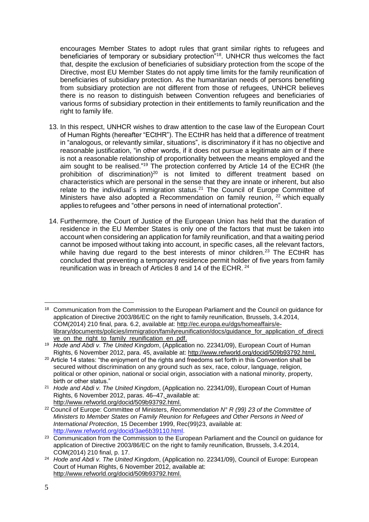encourages Member States to adopt rules that grant similar rights to refugees and beneficiaries of temporary or subsidiary protection<sup>"18</sup>. UNHCR thus welcomes the fact that, despite the exclusion of beneficiaries of subsidiary protection from the scope of the Directive, most EU Member States do not apply time limits for the family reunification of beneficiaries of subsidiary protection. As the humanitarian needs of persons benefiting from subsidiary protection are not different from those of refugees, UNHCR believes there is no reason to distinguish between Convention refugees and beneficiaries of various forms of subsidiary protection in their entitlements to family reunification and the right to family life.

- 13. In this respect, UNHCR wishes to draw attention to the case law of the European Court of Human Rights (hereafter "ECtHR"). The ECtHR has held that a difference of treatment in "analogous, or relevantly similar, situations", is discriminatory if it has no objective and reasonable justification, "in other words, if it does not pursue a legitimate aim or if there is not a reasonable relationship of proportionality between the means employed and the aim sought to be realised."<sup>19</sup> The protection conferred by Article 14 of the ECHR (the prohibition of discrimination)<sup>20</sup> is not limited to different treatment based on characteristics which are personal in the sense that they are innate or inherent, but also relate to the individual's immigration status.<sup>21</sup> The Council of Europe Committee of Ministers have also adopted a Recommendation on family reunion,  $22$  which equally applies to refugees and "other persons in need of international protection".
- 14. Furthermore, the Court of Justice of the European Union has held that the duration of residence in the EU Member States is only one of the factors that must be taken into account when considering an application for family reunification, and that a waiting period cannot be imposed without taking into account, in specific cases, all the relevant factors, while having due regard to the best interests of minor children.<sup>23</sup> The ECtHR has concluded that preventing a temporary residence permit holder of five years from family reunification was in breach of Articles 8 and 14 of the ECHR. <sup>24</sup>

<sup>&</sup>lt;u>.</u> <sup>18</sup> Communication from the Commission to the European Parliament and the Council on guidance for application of Directive 2003/86/EC on the right to family reunification, Brussels, 3.4.2014, COM(2014) 210 final, para. 6.2, available at: [http://ec.europa.eu/dgs/homeaffairs/e](http://ec.europa.eu/dgs/homeaffairs/e-library/documents/policies/immigration/familyreunification/docs/guidance_for_application_of_directive_on_the_right_to_family_reunification_en%20.pdf)[library/documents/policies/immigration/familyreunification/docs/guidance\\_for\\_application\\_of\\_directi](http://ec.europa.eu/dgs/homeaffairs/e-library/documents/policies/immigration/familyreunification/docs/guidance_for_application_of_directive_on_the_right_to_family_reunification_en%20.pdf) [ve\\_on\\_the\\_right\\_to\\_family\\_reunification\\_en .pdf.](http://ec.europa.eu/dgs/homeaffairs/e-library/documents/policies/immigration/familyreunification/docs/guidance_for_application_of_directive_on_the_right_to_family_reunification_en%20.pdf)

<sup>19</sup> *Hode and Abdi v. The United Kingdom*, (Application no. 22341/09), European Court of Human Rights, 6 November 2012, para. 45, available at: [http://www.refworld.org/docid/509b93792.html.](http://www.refworld.org/docid/509b93792.html)

<sup>&</sup>lt;sup>20</sup> Article 14 states: "the enjoyment of the rights and freedoms set forth in this Convention shall be secured without discrimination on any ground such as sex, race, colour, language, religion, political or other opinion, national or social origin, association with a national minority, property, birth or other status."

<sup>21</sup> *Hode and Abdi v. The United Kingdom*, (Application no. 22341/09), European Court of Human Rights, 6 November 2012, paras. 46–47, available at: [http://www.refworld.org/docid/509b93792.html.](http://www.refworld.org/docid/509b93792.html)

<sup>22</sup> Council of Europe: Committee of Ministers, *Recommendation N° R (99) 23 of the Committee of Ministers to Member States on Family Reunion for Refugees and Other Persons in Need of International Protection*, 15 December 1999, Rec(99)23, available at: [http://www.refworld.org/docid/3ae6b39110.html.](http://www.refworld.org/docid/3ae6b39110.html)

<sup>&</sup>lt;sup>23</sup> Communication from the Commission to the European Parliament and the Council on guidance for application of Directive 2003/86/EC on the right to family reunification, Brussels, 3.4.2014, COM(2014) 210 final, p. 17.

<sup>24</sup> *Hode and Abdi v. The United Kingdom*, (Application no. 22341/09), Council of Europe: European Court of Human Rights, 6 November 2012, available at: [http://www.refworld.org/docid/509b93792.html.](http://www.refworld.org/docid/509b93792.html)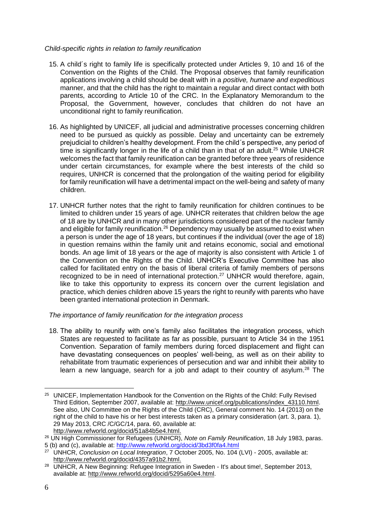# *Child-specific rights in relation to family reunification*

- 15. A child´s right to family life is specifically protected under Articles 9, 10 and 16 of the Convention on the Rights of the Child. The Proposal observes that family reunification applications involving a child should be dealt with in a *positive, humane and expeditious* manner, and that the child has the right to maintain a regular and direct contact with both parents, according to Article 10 of the CRC. In the Explanatory Memorandum to the Proposal, the Government, however, concludes that children do not have an unconditional right to family reunification.
- 16. As highlighted by UNICEF, all judicial and administrative processes concerning children need to be pursued as quickly as possible. Delay and uncertainty can be extremely prejudicial to children's healthy development. From the child´s perspective, any period of time is significantly longer in the life of a child than in that of an adult.<sup>25</sup> While UNHCR welcomes the fact that family reunification can be granted before three years of residence under certain circumstances, for example where the best interests of the child so requires, UNHCR is concerned that the prolongation of the waiting period for eligibility for family reunification will have a detrimental impact on the well-being and safety of many children.
- 17. UNHCR further notes that the right to family reunification for children continues to be limited to children under 15 years of age. UNHCR reiterates that children below the age of 18 are by UNHCR and in many other jurisdictions considered part of the nuclear family and eligible for family reunification.<sup>26</sup> Dependency may usually be assumed to exist when a person is under the age of 18 years, but continues if the individual (over the age of 18) in question remains within the family unit and retains economic, social and emotional bonds. An age limit of 18 years or the age of majority is also consistent with Article 1 of the Convention on the Rights of the Child. UNHCR's Executive Committee has also called for facilitated entry on the basis of liberal criteria of family members of persons recognized to be in need of international protection.<sup>27</sup> UNHCR would therefore, again, like to take this opportunity to express its concern over the current legislation and practice, which denies children above 15 years the right to reunify with parents who have been granted international protection in Denmark.

# *The importance of family reunification for the integration process*

18. The ability to reunify with one's family also facilitates the integration process, which States are requested to facilitate as far as possible, pursuant to Article 34 in the 1951 Convention. Separation of family members during forced displacement and flight can have devastating consequences on peoples' well-being, as well as on their ability to rehabilitate from traumatic experiences of persecution and war and inhibit their ability to learn a new language, search for a job and adapt to their country of asylum.<sup>28</sup> The

<u>.</u>

<sup>&</sup>lt;sup>25</sup> UNICEF, Implementation Handbook for the Convention on the Rights of the Child: Fully Revised Third Edition, September 2007, available at: [http://www.unicef.org/publications/index\\_43110.html.](http://www.unicef.org/publications/index_43110.html) See also, UN Committee on the Rights of the Child (CRC), General comment No. 14 (2013) on the right of the child to have his or her best interests taken as a primary consideration (art. 3, para. 1), 29 May 2013, CRC /C/GC/14, para. 60, available at: [http://www.refworld.org/docid/51a84b5e4.html.](http://www.refworld.org/docid/51a84b5e4.html)

<sup>26</sup> UN High Commissioner for Refugees (UNHCR), *Note on Family Reunification*, 18 July 1983, paras.

<sup>5 (</sup>b) and (c), available at:<http://www.refworld.org/docid/3bd3f0fa4.html>

<sup>27</sup> UNHCR, *Conclusion on Local Integration*, 7 October 2005, No. 104 (LVI) - 2005, available at: [http://www.refworld.org/docid/4357a91b2.html.](http://www.refworld.org/docid/4357a91b2.html)

<sup>&</sup>lt;sup>28</sup> UNHCR, A New Beginning: Refugee Integration in Sweden - It's about time!, September 2013, available at: [http://www.refworld.org/docid/5295a60e4.html.](http://www.refworld.org/docid/5295a60e4.html)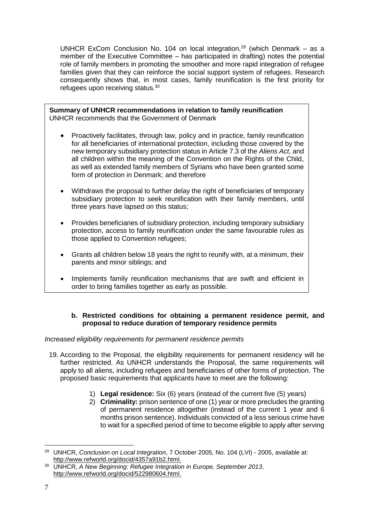UNHCR ExCom Conclusion No. 104 on local integration, $^{29}$  (which Denmark – as a member of the Executive Committee – has participated in drafting) notes the potential role of family members in promoting the smoother and more rapid integration of refugee families given that they can reinforce the social support system of refugees. Research consequently shows that, in most cases, family reunification is the first priority for refugees upon receiving status.<sup>30</sup>

**Summary of UNHCR recommendations in relation to family reunification** UNHCR recommends that the Government of Denmark

- Proactively facilitates, through law, policy and in practice, family reunification for all beneficiaries of international protection, including those covered by the new temporary subsidiary protection status in Article 7.3 of the *Aliens Act*, and all children within the meaning of the Convention on the Rights of the Child, as well as extended family members of Syrians who have been granted some form of protection in Denmark; and therefore
- Withdraws the proposal to further delay the right of beneficiaries of temporary subsidiary protection to seek reunification with their family members, until three years have lapsed on this status;
- Provides beneficiaries of subsidiary protection, including temporary subsidiary protection, access to family reunification under the same favourable rules as those applied to Convention refugees;
- Grants all children below 18 years the right to reunify with, at a minimum, their parents and minor siblings; and
- Implements family reunification mechanisms that are swift and efficient in order to bring families together as early as possible.

# **b. Restricted conditions for obtaining a permanent residence permit, and proposal to reduce duration of temporary residence permits**

# *Increased eligibility requirements for permanent residence permits*

- 19. According to the Proposal, the eligibility requirements for permanent residency will be further restricted. As UNHCR understands the Proposal, the same requirements will apply to all aliens, including refugees and beneficiaries of other forms of protection. The proposed basic requirements that applicants have to meet are the following:
	- 1) **Legal residence:** Six (6) years (instead of the current five (5) years)
	- 2) **Criminality:** prison sentence of one (1) year or more precludes the granting of permanent residence altogether (instead of the current 1 year and 6 months prison sentence). Individuals convicted of a less serious crime have to wait for a specified period of time to become eligible to apply after serving

<sup>1</sup> <sup>29</sup> UNHCR, *Conclusion on Local Integration*, 7 October 2005, No. 104 (LVI) - 2005, available at: [http://www.refworld.org/docid/4357a91b2.html.](http://www.refworld.org/docid/4357a91b2.html)

<sup>30</sup> UNHCR, *A New Beginning: Refugee Integration in Europe, September 2013*, [http://www.refworld.org/docid/522980604.html.](http://www.refworld.org/docid/522980604.html)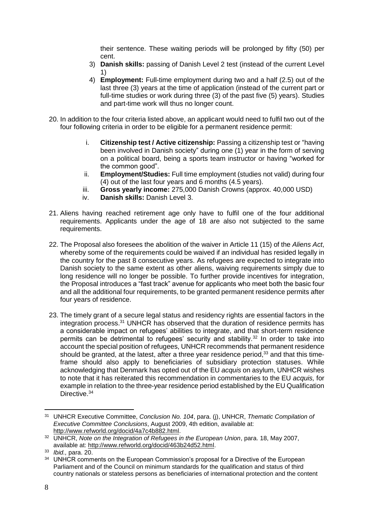their sentence. These waiting periods will be prolonged by fifty (50) per cent.

- 3) **Danish skills:** passing of Danish Level 2 test (instead of the current Level 1)
- 4) **Employment:** Full-time employment during two and a half (2.5) out of the last three (3) years at the time of application (instead of the current part or full-time studies or work during three (3) of the past five (5) years). Studies and part-time work will thus no longer count.
- 20. In addition to the four criteria listed above, an applicant would need to fulfil two out of the four following criteria in order to be eligible for a permanent residence permit:
	- i. **Citizenship test / Active citizenship:** Passing a citizenship test or "having been involved in Danish society" during one (1) year in the form of serving on a political board, being a sports team instructor or having "worked for the common good".
	- ii. **Employment/Studies:** Full time employment (studies not valid) during four (4) out of the last four years and 6 months (4.5 years).
	- iii. **Gross yearly income:** 275,000 Danish Crowns (approx. 40,000 USD)
	- iv. **Danish skills:** Danish Level 3.
- 21. Aliens having reached retirement age only have to fulfil one of the four additional requirements. Applicants under the age of 18 are also not subjected to the same requirements.
- 22. The Proposal also foresees the abolition of the waiver in Article 11 (15) of the *Aliens Act*, whereby some of the requirements could be waived if an individual has resided legally in the country for the past 8 consecutive years. As refugees are expected to integrate into Danish society to the same extent as other aliens, waiving requirements simply due to long residence will no longer be possible. To further provide incentives for integration, the Proposal introduces a "fast track" avenue for applicants who meet both the basic four and all the additional four requirements, to be granted permanent residence permits after four years of residence.
- 23. The timely grant of a secure legal status and residency rights are essential factors in the integration process.<sup>31</sup> UNHCR has observed that the duration of residence permits has a considerable impact on refugees' abilities to integrate, and that short-term residence permits can be detrimental to refugees' security and stability.<sup>32</sup> In order to take into account the special position of refugees, UNHCR recommends that permanent residence should be granted, at the latest, after a three year residence period,<sup>33</sup> and that this timeframe should also apply to beneficiaries of subsidiary protection statuses. While acknowledging that Denmark has opted out of the EU *acquis* on asylum, UNHCR wishes to note that it has reiterated this recommendation in commentaries to the EU *acquis,* for example in relation to the three-year residence period established by the EU Qualification Directive.<sup>34</sup>

<u>.</u>

<sup>31</sup> UNHCR Executive Committee, *Conclusion No. 104*, para. (j), UNHCR, *Thematic Compilation of Executive Committee Conclusions*, August 2009, 4th edition, available at: [http://www.refworld.org/docid/4a7c4b882.html.](http://www.refworld.org/docid/4a7c4b882.html)

<sup>32</sup> UNHCR, *Note on the Integration of Refugees in the European Union*, para. 18, May 2007, available at: [http://www.refworld.org/docid/463b24d52.html.](http://www.refworld.org/docid/463b24d52.html)

<sup>33</sup> *Ibid.,* para. 20.

<sup>&</sup>lt;sup>34</sup> UNHCR comments on the European Commission's proposal for a Directive of the European Parliament and of the Council on minimum standards for the qualification and status of third country nationals or stateless persons as beneficiaries of international protection and the content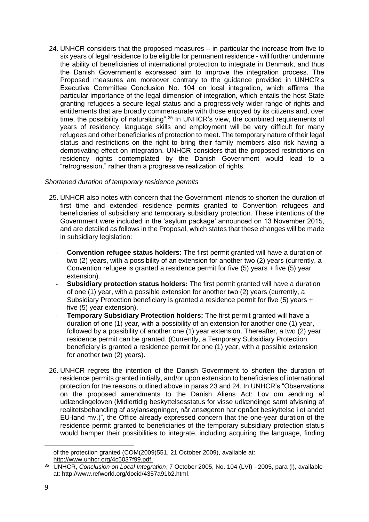24. UNHCR considers that the proposed measures – in particular the increase from five to six years of legal residence to be eligible for permanent residence - will further undermine the ability of beneficiaries of international protection to integrate in Denmark, and thus the Danish Government's expressed aim to improve the integration process. The Proposed measures are moreover contrary to the guidance provided in UNHCR's Executive Committee Conclusion No. 104 on local integration, which affirms "the particular importance of the legal dimension of integration, which entails the host State granting refugees a secure legal status and a progressively wider range of rights and entitlements that are broadly commensurate with those enjoyed by its citizens and, over time, the possibility of naturalizing".<sup>35</sup> In UNHCR's view, the combined requirements of years of residency, language skills and employment will be very difficult for many refugees and other beneficiaries of protection to meet. The temporary nature of their legal status and restrictions on the right to bring their family members also risk having a demotivating effect on integration. UNHCR considers that the proposed restrictions on residency rights contemplated by the Danish Government would lead to a "retrogression," rather than a progressive realization of rights.

#### *Shortened duration of temporary residence permits*

- 25. UNHCR also notes with concern that the Government intends to shorten the duration of first time and extended residence permits granted to Convention refugees and beneficiaries of subsidiary and temporary subsidiary protection. These intentions of the Government were included in the 'asylum package' announced on 13 November 2015, and are detailed as follows in the Proposal, which states that these changes will be made in subsidiary legislation:
	- **Convention refugee status holders:** The first permit granted will have a duration of two (2) years, with a possibility of an extension for another two (2) years (currently, a Convention refugee is granted a residence permit for five (5) years + five (5) year extension).
	- **Subsidiary protection status holders:** The first permit granted will have a duration of one (1) year, with a possible extension for another two (2) years (currently, a Subsidiary Protection beneficiary is granted a residence permit for five (5) years + five (5) year extension).
	- **Temporary Subsidiary Protection holders:** The first permit granted will have a duration of one (1) year, with a possibility of an extension for another one (1) year, followed by a possibility of another one (1) year extension. Thereafter, a two (2) year residence permit can be granted. (Currently, a Temporary Subsidiary Protection beneficiary is granted a residence permit for one (1) year, with a possible extension for another two (2) years).
- 26. UNHCR regrets the intention of the Danish Government to shorten the duration of residence permits granted initially, and/or upon extension to beneficiaries of international protection for the reasons outlined above in paras 23 and 24. In UNHCR's "Observations on the proposed amendments to the Danish Aliens Act: Lov om ændring af udlændingeloven (Midlertidig beskyttelsesstatus for visse udlændinge samt afvisning af realitetsbehandling af asylansøgninger, når ansøgeren har opnået beskyttelse i et andet EU-land mv.)", the Office already expressed concern that the one-year duration of the residence permit granted to beneficiaries of the temporary subsidiary protection status would hamper their possibilities to integrate, including acquiring the language, finding

of the protection granted (COM(2009)551, 21 October 2009), available at: [http://www.unhcr.org/4c5037f99.pdf.](http://www.unhcr.org/4c5037f99.pdf)

<sup>35</sup> UNHCR, *Conclusion on Local Integration*, 7 October 2005, No. 104 (LVI) - 2005, para (l), available at: [http://www.refworld.org/docid/4357a91b2.html.](http://www.refworld.org/docid/4357a91b2.html)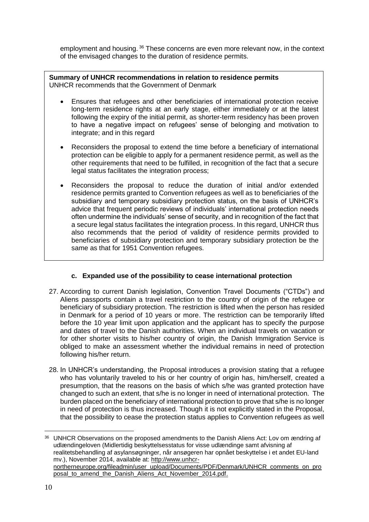employment and housing. <sup>36</sup> These concerns are even more relevant now, in the context of the envisaged changes to the duration of residence permits.

**Summary of UNHCR recommendations in relation to residence permits** UNHCR recommends that the Government of Denmark

- Ensures that refugees and other beneficiaries of international protection receive long-term residence rights at an early stage, either immediately or at the latest following the expiry of the initial permit, as shorter-term residency has been proven to have a negative impact on refugees' sense of belonging and motivation to integrate; and in this regard
- Reconsiders the proposal to extend the time before a beneficiary of international protection can be eligible to apply for a permanent residence permit, as well as the other requirements that need to be fulfilled, in recognition of the fact that a secure legal status facilitates the integration process;
- Reconsiders the proposal to reduce the duration of initial and/or extended residence permits granted to Convention refugees as well as to beneficiaries of the subsidiary and temporary subsidiary protection status, on the basis of UNHCR's advice that frequent periodic reviews of individuals' international protection needs often undermine the individuals' sense of security, and in recognition of the fact that a secure legal status facilitates the integration process. In this regard, UNHCR thus also recommends that the period of validity of residence permits provided to beneficiaries of subsidiary protection and temporary subsidiary protection be the same as that for 1951 Convention refugees.

# **c. Expanded use of the possibility to cease international protection**

- 27. According to current Danish legislation, Convention Travel Documents ("CTDs") and Aliens passports contain a travel restriction to the country of origin of the refugee or beneficiary of subsidiary protection. The restriction is lifted when the person has resided in Denmark for a period of 10 years or more. The restriction can be temporarily lifted before the 10 year limit upon application and the applicant has to specify the purpose and dates of travel to the Danish authorities. When an individual travels on vacation or for other shorter visits to his/her country of origin, the Danish Immigration Service is obliged to make an assessment whether the individual remains in need of protection following his/her return.
- 28. In UNHCR's understanding, the Proposal introduces a provision stating that a refugee who has voluntarily traveled to his or her country of origin has, him/herself, created a presumption, that the reasons on the basis of which s/he was granted protection have changed to such an extent, that s/he is no longer in need of international protection. The burden placed on the beneficiary of international protection to prove that s/he is no longer in need of protection is thus increased. Though it is not explicitly stated in the Proposal, that the possibility to cease the protection status applies to Convention refugees as well

<sup>&</sup>lt;sup>36</sup> UNHCR Observations on the proposed amendments to the Danish Aliens Act: Lov om ændring af udlændingeloven (Midlertidig beskyttelsesstatus for visse udlændinge samt afvisning af realitetsbehandling af asylansøgninger, når ansøgeren har opnået beskyttelse i et andet EU-land mv.), November 2014, available at: [http://www.unhcr](http://www.unhcr-northerneurope.org/fileadmin/user_upload/Documents/PDF/Denmark/UNHCR_comments_on_proposal_to_amend_the_Danish_Aliens_Act_November_2014.pdf)[northerneurope.org/fileadmin/user\\_upload/Documents/PDF/Denmark/UNHCR\\_comments\\_on\\_pro](http://www.unhcr-northerneurope.org/fileadmin/user_upload/Documents/PDF/Denmark/UNHCR_comments_on_proposal_to_amend_the_Danish_Aliens_Act_November_2014.pdf) [posal\\_to\\_amend\\_the\\_Danish\\_Aliens\\_Act\\_November\\_2014.pdf.](http://www.unhcr-northerneurope.org/fileadmin/user_upload/Documents/PDF/Denmark/UNHCR_comments_on_proposal_to_amend_the_Danish_Aliens_Act_November_2014.pdf)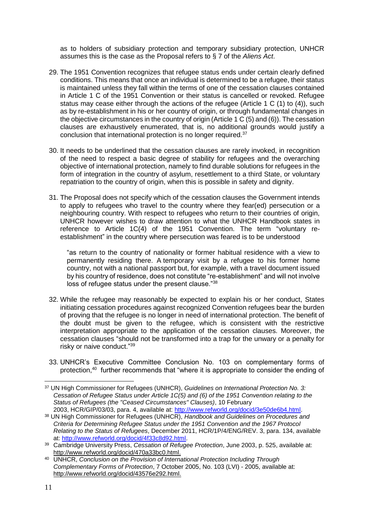as to holders of subsidiary protection and temporary subsidiary protection, UNHCR assumes this is the case as the Proposal refers to § 7 of the *Aliens Act*.

- 29. The 1951 Convention recognizes that refugee status ends under certain clearly defined conditions. This means that once an individual is determined to be a refugee, their status is maintained unless they fall within the terms of one of the cessation clauses contained in Article 1 C of the 1951 Convention or their status is cancelled or revoked. Refugee status may cease either through the actions of the refugee (Article 1 C (1) to (4)), such as by re-establishment in his or her country of origin, or through fundamental changes in the objective circumstances in the country of origin (Article 1 C (5) and (6)). The cessation clauses are exhaustively enumerated, that is, no additional grounds would justify a conclusion that international protection is no longer required.<sup>37</sup>
- 30. It needs to be underlined that the cessation clauses are rarely invoked, in recognition of the need to respect a basic degree of stability for refugees and the overarching objective of international protection, namely to find durable solutions for refugees in the form of integration in the country of asylum, resettlement to a third State, or voluntary repatriation to the country of origin, when this is possible in safety and dignity.
- 31. The Proposal does not specify which of the cessation clauses the Government intends to apply to refugees who travel to the country where they fear(ed) persecution or a neighbouring country. With respect to refugees who return to their countries of origin, UNHCR however wishes to draw attention to what the UNHCR Handbook states in reference to Article 1C(4) of the 1951 Convention. The term "voluntary reestablishment" in the country where persecution was feared is to be understood

"as return to the country of nationality or former habitual residence with a view to permanently residing there. A temporary visit by a refugee to his former home country, not with a national passport but, for example, with a travel document issued by his country of residence, does not constitute "re-establishment" and will not involve loss of refugee status under the present clause."<sup>38</sup>

- 32. While the refugee may reasonably be expected to explain his or her conduct, States initiating cessation procedures against recognized Convention refugees bear the burden of proving that the refugee is no longer in need of international protection. The benefit of the doubt must be given to the refugee, which is consistent with the restrictive interpretation appropriate to the application of the cessation clauses. Moreover, the cessation clauses "should not be transformed into a trap for the unwary or a penalty for risky or naive conduct."39
- 33. UNHCR's Executive Committee Conclusion No. 103 on complementary forms of protection,<sup>40</sup> further recommends that "where it is appropriate to consider the ending of

<sup>1</sup> <sup>37</sup> UN High Commissioner for Refugees (UNHCR), *Guidelines on International Protection No. 3: Cessation of Refugee Status under Article 1C(5) and (6) of the 1951 Convention relating to the Status of Refugees (the "Ceased Circumstances" Clauses)*, 10 February 2003, HCR/GIP/03/03, para. 4, available at: [http://www.refworld.org/docid/3e50de6b4.html.](http://www.refworld.org/docid/3e50de6b4.html)

<sup>38</sup> UN High Commissioner for Refugees (UNHCR), *Handbook and Guidelines on Procedures and Criteria for Determining Refugee Status under the 1951 Convention and the 1967 Protocol Relating to the Status of Refugees*, December 2011, HCR/1P/4/ENG/REV. 3, para. 134, available at: [http://www.refworld.org/docid/4f33c8d92.html.](http://www.refworld.org/docid/4f33c8d92.html)

<sup>39</sup> Cambridge University Press, *Cessation of Refugee Protection*, June 2003, p. 525, available at: [http://www.refworld.org/docid/470a33bc0.html.](http://www.refworld.org/docid/470a33bc0.html)

<sup>40</sup> UNHCR, *Conclusion on the Provision of International Protection Including Through Complementary Forms of Protection*, 7 October 2005, No. 103 (LVI) - 2005, available at: [http://www.refworld.org/docid/43576e292.html.](http://www.refworld.org/docid/43576e292.html)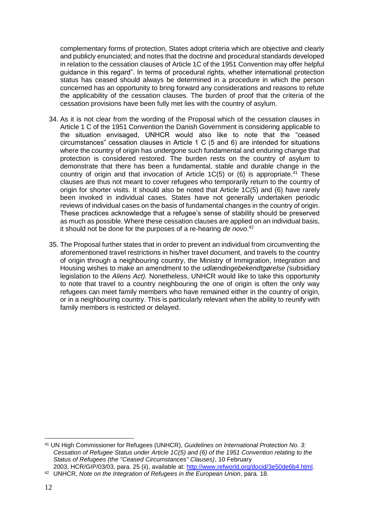complementary forms of protection, States adopt criteria which are objective and clearly and publicly enunciated; and notes that the doctrine and procedural standards developed in relation to the cessation clauses of Article 1C of the 1951 Convention may offer helpful guidance in this regard". In terms of procedural rights, whether international protection status has ceased should always be determined in a procedure in which the person concerned has an opportunity to bring forward any considerations and reasons to refute the applicability of the cessation clauses. The burden of proof that the criteria of the cessation provisions have been fully met lies with the country of asylum.

- 34. As it is not clear from the wording of the Proposal which of the cessation clauses in Article 1 C of the 1951 Convention the Danish Government is considering applicable to the situation envisaged, UNHCR would also like to note that the "ceased circumstances" cessation clauses in Article 1 C (5 and 6) are intended for situations where the country of origin has undergone such fundamental and enduring change that protection is considered restored. The burden rests on the country of asylum to demonstrate that there has been a fundamental, stable and durable change in the country of origin and that invocation of Article  $1C(5)$  or (6) is appropriate.<sup>41</sup> These clauses are thus not meant to cover refugees who temporarily return to the country of origin for shorter visits. It should also be noted that Article 1C(5) and (6) have rarely been invoked in individual cases. States have not generally undertaken periodic reviews of individual cases on the basis of fundamental changes in the country of origin. These practices acknowledge that a refugee's sense of stability should be preserved as much as possible. Where these cessation clauses are applied on an individual basis, it should not be done for the purposes of a re-hearing *de novo*. 42
- 35. The Proposal further states that in order to prevent an individual from circumventing the aforementioned travel restrictions in his/her travel document, and travels to the country of origin through a neighbouring country, the Ministry of Immigration, Integration and Housing wishes to make an amendment to the *udlændingebekendtgørelse (*subsidiary legislation to the *Aliens Act).* Nonetheless, UNHCR would like to take this opportunity to note that travel to a country neighbouring the one of origin is often the only way refugees can meet family members who have remained either in the country of origin, or in a neighbouring country. This is particularly relevant when the ability to reunify with family members is restricted or delayed.

<sup>&</sup>lt;u>.</u> <sup>41</sup> UN High Commissioner for Refugees (UNHCR), *Guidelines on International Protection No. 3: Cessation of Refugee Status under Article 1C(5) and (6) of the 1951 Convention relating to the Status of Refugees (the "Ceased Circumstances" Clauses)*, 10 February

<sup>2003,</sup> HCR/GIP/03/03, para. 25 (ii), available at: [http://www.refworld.org/docid/3e50de6b4.html.](http://www.refworld.org/docid/3e50de6b4.html) <sup>42</sup> UNHCR, *Note on the Integration of Refugees in the European Union*, para. 18.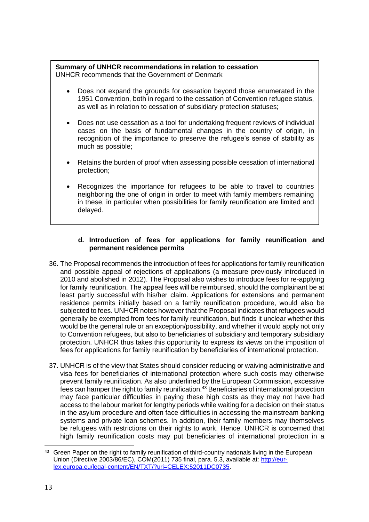#### **Summary of UNHCR recommendations in relation to cessation** UNHCR recommends that the Government of Denmark

- Does not expand the grounds for cessation beyond those enumerated in the 1951 Convention, both in regard to the cessation of Convention refugee status, as well as in relation to cessation of subsidiary protection statuses;
- Does not use cessation as a tool for undertaking frequent reviews of individual cases on the basis of fundamental changes in the country of origin, in recognition of the importance to preserve the refugee's sense of stability as much as possible;
- Retains the burden of proof when assessing possible cessation of international protection;
- Recognizes the importance for refugees to be able to travel to countries neighboring the one of origin in order to meet with family members remaining in these, in particular when possibilities for family reunification are limited and delayed.

# **d. Introduction of fees for applications for family reunification and permanent residence permits**

- 36. The Proposal recommends the introduction of fees for applications for family reunification and possible appeal of rejections of applications (a measure previously introduced in 2010 and abolished in 2012). The Proposal also wishes to introduce fees for re-applying for family reunification. The appeal fees will be reimbursed, should the complainant be at least partly successful with his/her claim. Applications for extensions and permanent residence permits initially based on a family reunification procedure, would also be subjected to fees. UNHCR notes however that the Proposal indicates that refugees would generally be exempted from fees for family reunification, but finds it unclear whether this would be the general rule or an exception/possibility, and whether it would apply not only to Convention refugees, but also to beneficiaries of subsidiary and temporary subsidiary protection. UNHCR thus takes this opportunity to express its views on the imposition of fees for applications for family reunification by beneficiaries of international protection.
- 37. UNHCR is of the view that States should consider reducing or waiving administrative and visa fees for beneficiaries of international protection where such costs may otherwise prevent family reunification. As also underlined by the European Commission, excessive  $\frac{1}{2}$  fees can hamper the right to family reunification.<sup>43</sup> Beneficiaries of international protection may face particular difficulties in paying these high costs as they may not have had access to the labour market for lengthy periods while waiting for a decision on their status in the asylum procedure and often face difficulties in accessing the mainstream banking systems and private loan schemes. In addition, their family members may themselves be refugees with restrictions on their rights to work. Hence, UNHCR is concerned that high family reunification costs may put beneficiaries of international protection in a

<sup>&</sup>lt;sup>43</sup> Green Paper on the right to family reunification of third-country nationals living in the European Union (Directive 2003/86/EC), COM(2011) 735 final, para. 5.3, available at: [http://eur](http://eur-lex.europa.eu/legal-content/EN/TXT/?uri=CELEX:52011DC0735)[lex.europa.eu/legal-content/EN/TXT/?uri=CELEX:52011DC0735.](http://eur-lex.europa.eu/legal-content/EN/TXT/?uri=CELEX:52011DC0735)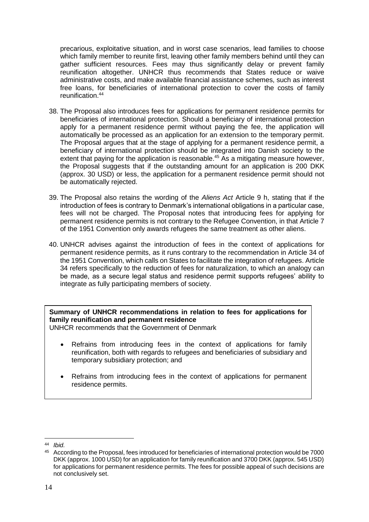precarious, exploitative situation, and in worst case scenarios, lead families to choose which family member to reunite first, leaving other family members behind until they can gather sufficient resources. Fees may thus significantly delay or prevent family reunification altogether. UNHCR thus recommends that States reduce or waive administrative costs, and make available financial assistance schemes, such as interest free loans, for beneficiaries of international protection to cover the costs of family reunification. 44

- 38. The Proposal also introduces fees for applications for permanent residence permits for beneficiaries of international protection. Should a beneficiary of international protection apply for a permanent residence permit without paying the fee, the application will automatically be processed as an application for an extension to the temporary permit. The Proposal argues that at the stage of applying for a permanent residence permit, a beneficiary of international protection should be integrated into Danish society to the extent that paying for the application is reasonable.<sup>45</sup> As a mitigating measure however, the Proposal suggests that if the outstanding amount for an application is 200 DKK (approx. 30 USD) or less, the application for a permanent residence permit should not be automatically rejected.
- 39. The Proposal also retains the wording of the *Aliens Act* Article 9 h, stating that if the introduction of fees is contrary to Denmark's international obligations in a particular case, fees will not be charged. The Proposal notes that introducing fees for applying for permanent residence permits is not contrary to the Refugee Convention, in that Article 7 of the 1951 Convention only awards refugees the same treatment as other aliens.
- 40. UNHCR advises against the introduction of fees in the context of applications for permanent residence permits, as it runs contrary to the recommendation in Article 34 of the 1951 Convention, which calls on States to facilitate the integration of refugees. Article 34 refers specifically to the reduction of fees for naturalization, to which an analogy can be made, as a secure legal status and residence permit supports refugees' ability to integrate as fully participating members of society.

**Summary of UNHCR recommendations in relation to fees for applications for family reunification and permanent residence**

UNHCR recommends that the Government of Denmark

- Refrains from introducing fees in the context of applications for family reunification, both with regards to refugees and beneficiaries of subsidiary and temporary subsidiary protection; and
- Refrains from introducing fees in the context of applications for permanent residence permits.

<sup>&</sup>lt;u>.</u> <sup>44</sup> *Ibid.*

<sup>45</sup> According to the Proposal, fees introduced for beneficiaries of international protection would be 7000 DKK (approx. 1000 USD) for an application for family reunification and 3700 DKK (approx. 545 USD) for applications for permanent residence permits. The fees for possible appeal of such decisions are not conclusively set.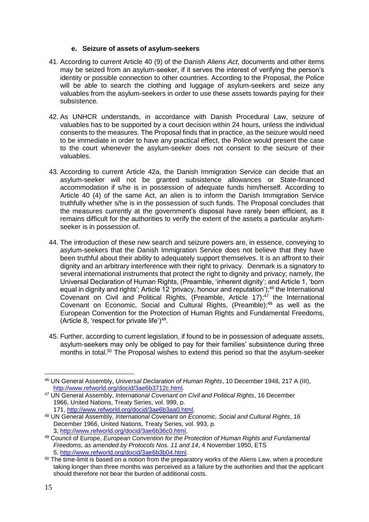## **e. Seizure of assets of asylum-seekers**

- 41. According to current Article 40 (9) of the Danish *Aliens Act*, documents and other items may be seized from an asylum-seeker, if it serves the interest of verifying the person's identity or possible connection to other countries. According to the Proposal, the Police will be able to search the clothing and luggage of asylum-seekers and seize any valuables from the asylum-seekers in order to use these assets towards paying for their subsistence.
- 42. As UNHCR understands, in accordance with Danish Procedural Law, seizure of valuables has to be supported by a court decision within 24 hours, unless the individual consents to the measures. The Proposal finds that in practice, as the seizure would need to be immediate in order to have any practical effect, the Police would present the case to the court whenever the asylum-seeker does not consent to the seizure of their valuables.
- 43. According to current Article 42a, the Danish Immigration Service can decide that an asylum-seeker will not be granted subsistence allowances or State-financed accommodation if s/he is in possession of adequate funds him/herself. According to Article 40 (4) of the same Act, an alien is to inform the Danish Immigration Service truthfully whether s/he is in the possession of such funds. The Proposal concludes that the measures currently at the government's disposal have rarely been efficient, as it remains difficult for the authorities to verify the extent of the assets a particular asylumseeker is in possession of.
- 44. The introduction of these new search and seizure powers are, in essence, conveying to asylum-seekers that the Danish Immigration Service does not believe that they have been truthful about their ability to adequately support themselves. It is an affront to their dignity and an arbitrary interference with their right to privacy. Denmark is a signatory to several international instruments that protect the right to dignity and privacy; namely, the Universal Declaration of Human Rights, (Preamble, 'inherent dignity'; and Article 1, 'born equal in dignity and rights'; Article 12 'privacy, honour and reputation');<sup>46</sup> the International Covenant on Civil and Political Rights, (Preamble, Article 17); $47$  the International Covenant on Economic, Social and Cultural Rights, (Preamble); <sup>48</sup> as well as the European Convention for the Protection of Human Rights and Fundamental Freedoms, (Article 8, 'respect for private life') $49$ .
- 45. Further, according to current legislation, if found to be in possession of adequate assets, asylum-seekers may only be obliged to pay for their families' subsistence during three months in total.<sup>50</sup> The Proposal wishes to extend this period so that the asylum-seeker

<sup>1</sup> <sup>46</sup> UN General Assembly, *Universal Declaration of Human Rights*, 10 December 1948, 217 A (III), [http://www.refworld.org/docid/3ae6b3712c.html.](http://www.refworld.org/docid/3ae6b3712c.html)

<sup>47</sup> UN General Assembly, *International Covenant on Civil and Political Rights*, 16 December 1966, United Nations, Treaty Series, vol. 999, p. 171, [http://www.refworld.org/docid/3ae6b3aa0.html.](http://www.refworld.org/docid/3ae6b3aa0.html)

<sup>48</sup> UN General Assembly, *International Covenant on Economic, Social and Cultural Rights*, 16 December 1966, United Nations, Treaty Series, vol. 993, p. 3, [http://www.refworld.org/docid/3ae6b36c0.html.](http://www.refworld.org/docid/3ae6b36c0.html)

<sup>49</sup> Council of Europe, *European Convention for the Protection of Human Rights and Fundamental Freedoms, as amended by Protocols Nos. 11 and 14*, 4 November 1950, ETS 5, [http://www.refworld.org/docid/3ae6b3b04.html.](http://www.refworld.org/docid/3ae6b3b04.html)

<sup>&</sup>lt;sup>50</sup> The time-limit is based on a notion from the preparatory works of the Aliens Law, when a procedure taking longer than three months was perceived as a failure by the authorities and that the applicant should therefore not bear the burden of additional costs.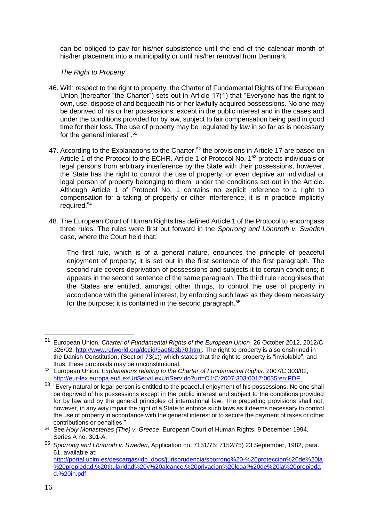can be obliged to pay for his/her subsistence until the end of the calendar month of his/her placement into a municipality or until his/her removal from Denmark.

# *The Right to Property*

- 46. With respect to the right to property, the Charter of Fundamental Rights of the European Union (hereafter "the Charter") sets out in Article 17(1) that "Everyone has the right to own, use, dispose of and bequeath his or her lawfully acquired possessions. No one may be deprived of his or her possessions, except in the public interest and in the cases and under the conditions provided for by law, subject to fair compensation being paid in good time for their loss. The use of property may be regulated by law in so far as is necessary for the general interest".<sup>51</sup>
- 47. According to the Explanations to the Charter,<sup>52</sup> the provisions in Article 17 are based on Article 1 of the Protocol to the ECHR. Article 1 of Protocol No. 1<sup>53</sup> protects individuals or legal persons from arbitrary interference by the State with their possessions, however, the State has the right to control the use of property, or even deprive an individual or legal person of property belonging to them, under the conditions set out in the Article. Although Article 1 of Protocol No. 1 contains no explicit reference to a right to compensation for a taking of property or other interference, it is in practice implicitly required.<sup>54</sup>
- 48. The European Court of Human Rights has defined Article 1 of the Protocol to encompass three rules. The rules were first put forward in the *Sporrong and Lönnroth v. Sweden* case, where the Court held that:

The first rule, which is of a general nature, enounces the principle of peaceful enjoyment of property; it is set out in the first sentence of the first paragraph. The second rule covers deprivation of possessions and subjects it to certain conditions; it appears in the second sentence of the same paragraph. The third rule recognises that the States are entitled, amongst other things, to control the use of property in accordance with the general interest, by enforcing such laws as they deem necessary for the purpose; it is contained in the second paragraph.<sup>55</sup>

<u>.</u>

<sup>51</sup> European Union, *Charter of Fundamental Rights of the European Union*, 26 October 2012, 2012/C 326/02, [http://www.refworld.org/docid/3ae6b3b70.html.](http://www.refworld.org/docid/3ae6b3b70.html) The right to property is also enshrined in the Danish Constitution, (Section 73(1)) which states that the right to property is "inviolable", and thus, these proposals may be unconstitutional.

<sup>52</sup> European Union, *Explanations relating to the Charter of Fundamental Rights,* 2007/C 303/02, [http://eur-lex.europa.eu/LexUriServ/LexUriServ.do?uri=OJ:C:2007:303:0017:0035:en:PDF.](http://eur-lex.europa.eu/LexUriServ/LexUriServ.do?uri=OJ:C:2007:303:0017:0035:en:PDF)

<sup>&</sup>lt;sup>53</sup> "Every natural or legal person is entitled to the peaceful enjoyment of his possessions. No one shall be deprived of his possessions except in the public interest and subject to the conditions provided for by law and by the general principles of international law. The preceding provisions shall not, however, in any way impair the right of a State to enforce such laws as it deems necessary to control the use of property in accordance with the general interest or to secure the payment of taxes or other contributions or penalties."

<sup>54</sup> See *Holy Monasteries (The) v. Greece*, European Court of Human Rights, 9 December 1994, Series A no. 301-A.

<sup>55</sup> *Sporrong and Lönnroth v. Sweden*, Application no. 7151/75; 7152/75) 23 September, 1982, para. 61, available at: [http://portal.uclm.es/descargas/idp\\_docs/jurisprudencia/sporrong%20-%20proteccion%20de%20la](http://portal.uclm.es/descargas/idp_docs/jurisprudencia/sporrong%20-%20proteccion%20de%20la%20propiedad.%20titularidad%20y%20alcance.%20privacion%20legal%20de%20la%20propiedad.%20in.pdf) [%20propiedad.%20titularidad%20y%20alcance.%20privacion%20legal%20de%20la%20propieda](http://portal.uclm.es/descargas/idp_docs/jurisprudencia/sporrong%20-%20proteccion%20de%20la%20propiedad.%20titularidad%20y%20alcance.%20privacion%20legal%20de%20la%20propiedad.%20in.pdf) [d.%20in.pdf.](http://portal.uclm.es/descargas/idp_docs/jurisprudencia/sporrong%20-%20proteccion%20de%20la%20propiedad.%20titularidad%20y%20alcance.%20privacion%20legal%20de%20la%20propiedad.%20in.pdf)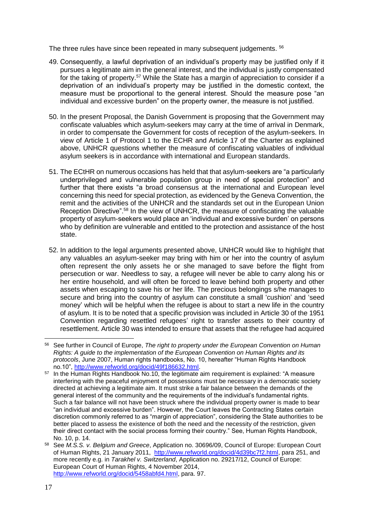The three rules have since been repeated in many subsequent judgements. <sup>56</sup>

- 49. Consequently, a lawful deprivation of an individual's property may be justified only if it pursues a legitimate aim in the general interest, and the individual is justly compensated for the taking of property.<sup>57</sup> While the State has a margin of appreciation to consider if a deprivation of an individual's property may be justified in the domestic context, the measure must be proportional to the general interest. Should the measure pose "an individual and excessive burden" on the property owner, the measure is not justified.
- 50. In the present Proposal, the Danish Government is proposing that the Government may confiscate valuables which asylum-seekers may carry at the time of arrival in Denmark, in order to compensate the Government for costs of reception of the asylum-seekers. In view of Article 1 of Protocol 1 to the ECHR and Article 17 of the Charter as explained above, UNHCR questions whether the measure of confiscating valuables of individual asylum seekers is in accordance with international and European standards.
- 51. The ECtHR on numerous occasions has held that that asylum-seekers are "a particularly underprivileged and vulnerable population group in need of special protection" and further that there exists "a broad consensus at the international and European level concerning this need for special protection, as evidenced by the Geneva Convention, the remit and the activities of the UNHCR and the standards set out in the European Union Reception Directive".<sup>58</sup> In the view of UNHCR, the measure of confiscating the valuable property of asylum-seekers would place an 'individual and excessive burden' on persons who by definition are vulnerable and entitled to the protection and assistance of the host state.
- 52. In addition to the legal arguments presented above, UNHCR would like to highlight that any valuables an asylum-seeker may bring with him or her into the country of asylum often represent the only assets he or she managed to save before the flight from persecution or war. Needless to say, a refugee will never be able to carry along his or her entire household, and will often be forced to leave behind both property and other assets when escaping to save his or her life. The precious belongings s/he manages to secure and bring into the country of asylum can constitute a small 'cushion' and 'seed money' which will be helpful when the refugee is about to start a new life in the country of asylum. It is to be noted that a specific provision was included in Article 30 of the 1951 Convention regarding resettled refugees' right to transfer assets to their country of resettlement. Article 30 was intended to ensure that assets that the refugee had acquired

<sup>56</sup> See further in Council of Europe, *The right to property under the European Convention on Human Rights: A guide to the implementation of the European Convention on Human Rights and its protocols*, June 2007, Human rights handbooks, No. 10, hereafter "Human Rights Handbook no.10", [http://www.refworld.org/docid/49f186632.html.](http://www.refworld.org/docid/49f186632.html)

<sup>&</sup>lt;sup>57</sup> In the Human Rights Handbook No.10, the legitimate aim requirement is explained: "A measure interfering with the peaceful enjoyment of possessions must be necessary in a democratic society directed at achieving a legitimate aim. It must strike a fair balance between the demands of the general interest of the community and the requirements of the individual's fundamental rights. Such a fair balance will not have been struck where the individual property owner is made to bear "an individual and excessive burden". However, the Court leaves the Contracting States certain discretion commonly referred to as "margin of appreciation", considering the State authorities to be better placed to assess the existence of both the need and the necessity of the restriction, given their direct contact with the social process forming their country." See, Human Rights Handbook, No. 10, p. 14.

<sup>58</sup> See *M.S.S. v. Belgium and Greece*, Application no. 30696/09, Council of Europe: European Court of Human Rights, 21 January 2011, [http://www.refworld.org/docid/4d39bc7f2.html,](http://www.refworld.org/docid/4d39bc7f2.html) para 251, and more recently e.g. in *Tarakhel v. Switzerland*, Application no. 29217/12, Council of Europe: European Court of Human Rights, 4 November 2014, [http://www.refworld.org/docid/5458abfd4.html,](http://www.refworld.org/docid/5458abfd4.html) para. 97.